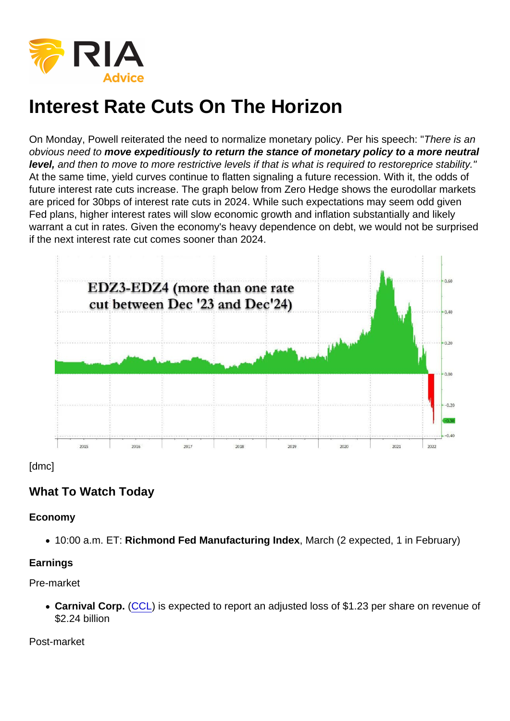# Interest Rate Cuts On The Horizon

On Monday, Powell reiterated the need to normalize monetary policy. Per his speech: "There is an obvious need to move expeditiously to return the stance of monetary policy to a more neutral level, and then to move to more restrictive levels if that is what is required to restoreprice stability." At the same time, yield curves continue to flatten signaling a future recession. With it, the odds of future interest rate cuts increase. The graph below from Zero Hedge shows the eurodollar markets are priced for 30bps of interest rate cuts in 2024. While such expectations may seem odd given Fed plans, higher interest rates will slow economic growth and inflation substantially and likely warrant a cut in rates. Given the economy's heavy dependence on debt, we would not be surprised if the next interest rate cut comes sooner than 2024.

[dmc]

## What To Watch Today

Economy

• 10:00 a.m. ET: Richmond Fed Manufacturing Index , March (2 expected, 1 in February)

Earnings

Pre-market

Carnival Corp. [\(CCL](https://finance.yahoo.com/quote/CCL)) is expected to report an adjusted loss of \$1.23 per share on revenue of \$2.24 billion

Post-market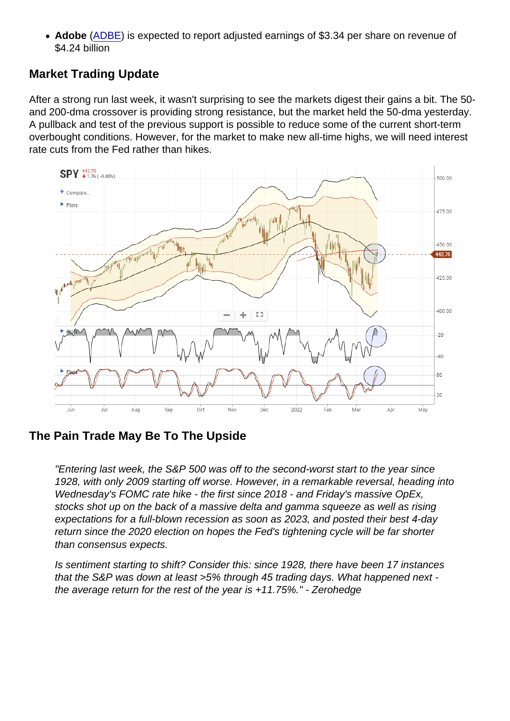• Adobe ([ADBE](https://finance.yahoo.com/quote/ADBE)) is expected to report adjusted earnings of \$3.34 per share on revenue of \$4.24 billion

## Market Trading Update

After a strong run last week, it wasn't surprising to see the markets digest their gains a bit. The 50 and 200-dma crossover is providing strong resistance, but the market held the 50-dma yesterday. A pullback and test of the previous support is possible to reduce some of the current short-term overbought conditions. However, for the market to make new all-time highs, we will need interest rate cuts from the Fed rather than hikes.

#### The Pain Trade May Be To The Upside

"Entering last week, the S&P 500 was off to the second-worst start to the year since 1928, with only 2009 starting off worse. However, in a remarkable reversal, heading into Wednesday's FOMC rate hike - the first since 2018 - and Friday's massive OpEx, stocks shot up on the back of a massive delta and gamma squeeze as well as rising expectations for a full-blown recession as soon as 2023, and posted their best 4-day return since the 2020 election on hopes the Fed's tightening cycle will be far shorter than consensus expects.

Is sentiment starting to shift? Consider this: since 1928, there have been 17 instances that the S&P was down at least >5% through 45 trading days. What happened next the average return for the rest of the year is +11.75%." - Zerohedge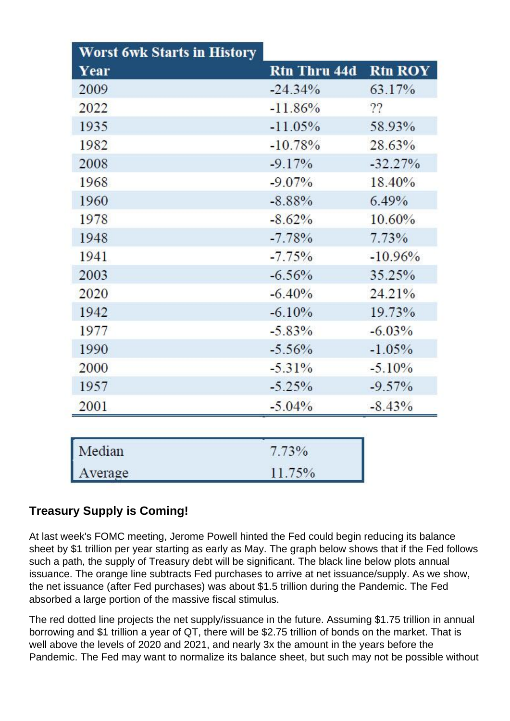| <b>Worst 6wk Starts in History</b> |                     |                |
|------------------------------------|---------------------|----------------|
| Year                               | <b>Rtn Thru 44d</b> | <b>Rtn ROY</b> |
| 2009                               | $-24.34\%$          | 63.17%         |
| 2022                               | $-11.86%$           | ??             |
| 1935                               | $-11.05%$           | 58.93%         |
| 1982                               | $-10.78%$           | 28.63%         |
| 2008                               | $-9.17%$            | $-32.27%$      |
| 1968                               | $-9.07\%$           | 18.40%         |
| 1960                               | $-8.88\%$           | $6.49\%$       |
| 1978                               | $-8.62%$            | $10.60\%$      |
| 1948                               | $-7.78%$            | 7.73%          |
| 1941                               | $-7.75%$            | $-10.96%$      |
| 2003                               | $-6.56%$            | 35.25%         |
| 2020                               | $-6.40%$            | 24.21%         |
| 1942                               | $-6.10%$            | 19.73%         |
| 1977                               | $-5.83\%$           | $-6.03\%$      |
| 1990                               | $-5.56%$            | $-1.05%$       |
| 2000                               | $-5.31\%$           | $-5.10%$       |
| 1957                               | $-5.25%$            | $-9.57\%$      |
| 2001                               | $-5.04%$            | $-8.43\%$      |
| Median                             | $7.73\%$            |                |
| Average                            | 11.75%              |                |

# **Treasury Supply is Coming!**

At last week's FOMC meeting, Jerome Powell hinted the Fed could begin reducing its balance sheet by \$1 trillion per year starting as early as May. The graph below shows that if the Fed follows such a path, the supply of Treasury debt will be significant. The black line below plots annual issuance. The orange line subtracts Fed purchases to arrive at net issuance/supply. As we show, the net issuance (after Fed purchases) was about \$1.5 trillion during the Pandemic. The Fed absorbed a large portion of the massive fiscal stimulus.

The red dotted line projects the net supply/issuance in the future. Assuming \$1.75 trillion in annual borrowing and \$1 trillion a year of QT, there will be \$2.75 trillion of bonds on the market. That is well above the levels of 2020 and 2021, and nearly 3x the amount in the years before the Pandemic. The Fed may want to normalize its balance sheet, but such may not be possible without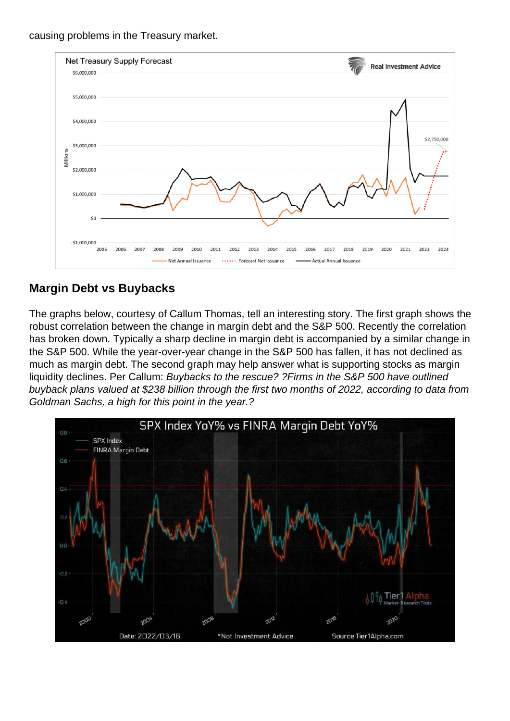causing problems in the Treasury market.

# Margin Debt vs Buybacks

The graphs below, courtesy of Callum Thomas, tell an interesting story. The first graph shows the robust correlation between the change in margin debt and the S&P 500. Recently the correlation has broken down. Typically a sharp decline in margin debt is accompanied by a similar change in the S&P 500. While the year-over-year change in the S&P 500 has fallen, it has not declined as much as margin debt. The second graph may help answer what is supporting stocks as margin liquidity declines. Per Callum: Buybacks to the rescue? ?Firms in the S&P 500 have outlined buyback plans valued at \$238 billion through the first two months of 2022, according to data from Goldman Sachs, a high for this point in the year.?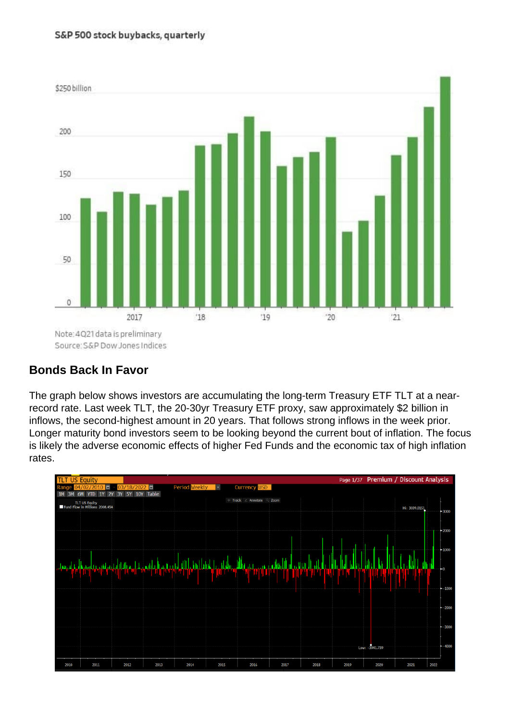Bonds Back In Favor

The graph below shows investors are accumulating the long-term Treasury ETF TLT at a nearrecord rate. Last week TLT, the 20-30yr Treasury ETF proxy, saw approximately \$2 billion in inflows, the second-highest amount in 20 years. That follows strong inflows in the week prior. Longer maturity bond investors seem to be looking beyond the current bout of inflation. The focus is likely the adverse economic effects of higher Fed Funds and the economic tax of high inflation rates.